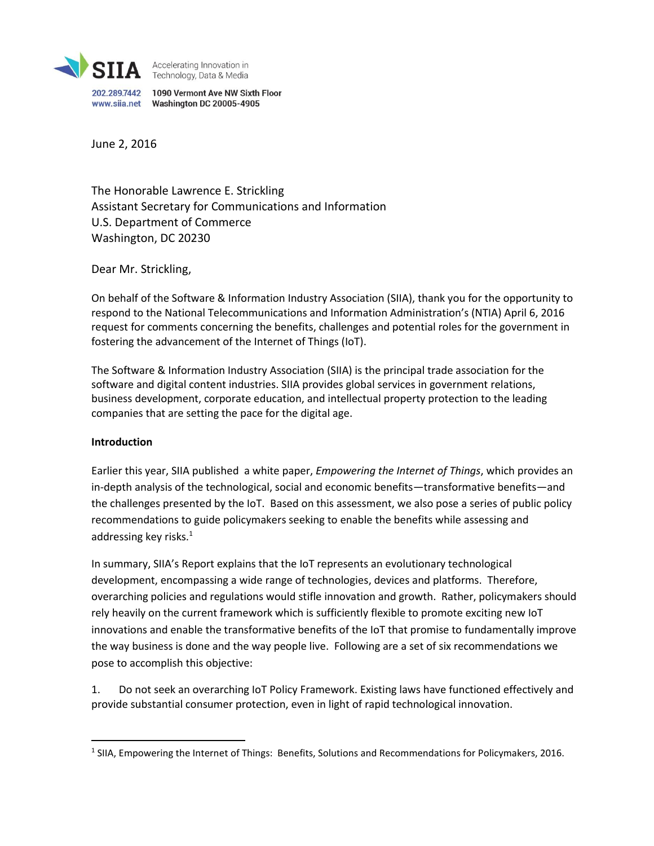

Accelerating Innovation in<br>Technology, Data & Media

202.289.7442 1090 Vermont Ave NW Sixth Floor 

June 2, 2016

The Honorable Lawrence E. Strickling Assistant Secretary for Communications and Information U.S. Department of Commerce Washington, DC 20230

Dear Mr. Strickling,

On behalf of the Software & Information Industry Association (SIIA), thank you for the opportunity to respond to the National Telecommunications and Information Administration's (NTIA) April 6, 2016 request for comments concerning the benefits, challenges and potential roles for the government in fostering the advancement of the Internet of Things (IoT).

The Software & Information Industry Association (SIIA) is the principal trade association for the software and digital content industries. SIIA provides global services in government relations, business development, corporate education, and intellectual property protection to the leading companies that are setting the pace for the digital age.

#### **Introduction**

 $\overline{\phantom{a}}$ 

Earlier this year, SIIA published a white paper, *Empowering the Internet of Things*, which provides an in-depth analysis of the technological, social and economic benefits—transformative benefits—and the challenges presented by the IoT. Based on this assessment, we also pose a series of public policy recommendations to guide policymakers seeking to enable the benefits while assessing and addressing key risks. $1$ 

In summary, SIIA's Report explains that the IoT represents an evolutionary technological development, encompassing a wide range of technologies, devices and platforms. Therefore, overarching policies and regulations would stifle innovation and growth. Rather, policymakers should rely heavily on the current framework which is sufficiently flexible to promote exciting new IoT innovations and enable the transformative benefits of the IoT that promise to fundamentally improve the way business is done and the way people live. Following are a set of six recommendations we pose to accomplish this objective:

1. Do not seek an overarching IoT Policy Framework. Existing laws have functioned effectively and provide substantial consumer protection, even in light of rapid technological innovation.

<sup>&</sup>lt;sup>1</sup> SIIA, Empowering the Internet of Things: Benefits, Solutions and Recommendations for Policymakers, 2016.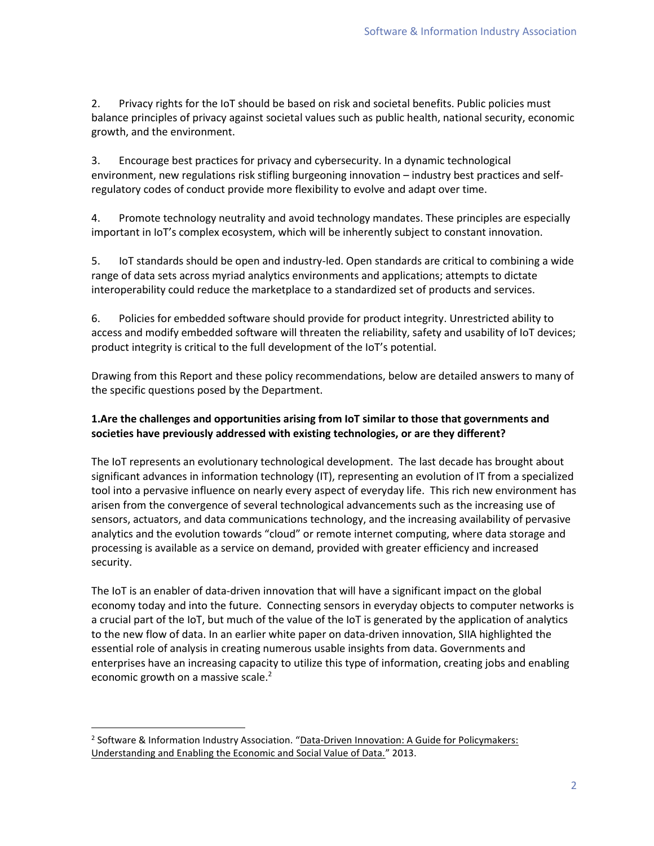2. Privacy rights for the IoT should be based on risk and societal benefits. Public policies must balance principles of privacy against societal values such as public health, national security, economic growth, and the environment.

3. Encourage best practices for privacy and cybersecurity. In a dynamic technological environment, new regulations risk stifling burgeoning innovation – industry best practices and selfregulatory codes of conduct provide more flexibility to evolve and adapt over time.

4. Promote technology neutrality and avoid technology mandates. These principles are especially important in IoT's complex ecosystem, which will be inherently subject to constant innovation.

5. IoT standards should be open and industry-led. Open standards are critical to combining a wide range of data sets across myriad analytics environments and applications; attempts to dictate interoperability could reduce the marketplace to a standardized set of products and services.

6. Policies for embedded software should provide for product integrity. Unrestricted ability to access and modify embedded software will threaten the reliability, safety and usability of IoT devices; product integrity is critical to the full development of the IoT's potential.

Drawing from this Report and these policy recommendations, below are detailed answers to many of the specific questions posed by the Department.

# **1.Are the challenges and opportunities arising from IoT similar to those that governments and societies have previously addressed with existing technologies, or are they different?**

The IoT represents an evolutionary technological development. The last decade has brought about significant advances in information technology (IT), representing an evolution of IT from a specialized tool into a pervasive influence on nearly every aspect of everyday life. This rich new environment has arisen from the convergence of several technological advancements such as the increasing use of sensors, actuators, and data communications technology, and the increasing availability of pervasive analytics and the evolution towards "cloud" or remote internet computing, where data storage and processing is available as a service on demand, provided with greater efficiency and increased security.

The IoT is an enabler of data-driven innovation that will have a significant impact on the global economy today and into the future. Connecting sensors in everyday objects to computer networks is a crucial part of the IoT, but much of the value of the IoT is generated by the application of analytics to the new flow of data. In an earlier white paper on data-driven innovation, SIIA highlighted the essential role of analysis in creating numerous usable insights from data. Governments and enterprises have an increasing capacity to utilize this type of information, creating jobs and enabling economic growth on a massive scale.<sup>2</sup>

 $\overline{a}$ 

<sup>&</sup>lt;sup>2</sup> Software & Information Industry Association. "Data-Driven Innovation: A Guide for Policymakers: [Understanding and Enabling the Economic and Social Value of Data.](http://www.siia.net/Portals/0/pdf/Policy/Data%20Driven%20Innovation/data-driven-innovation.pdf)" 2013.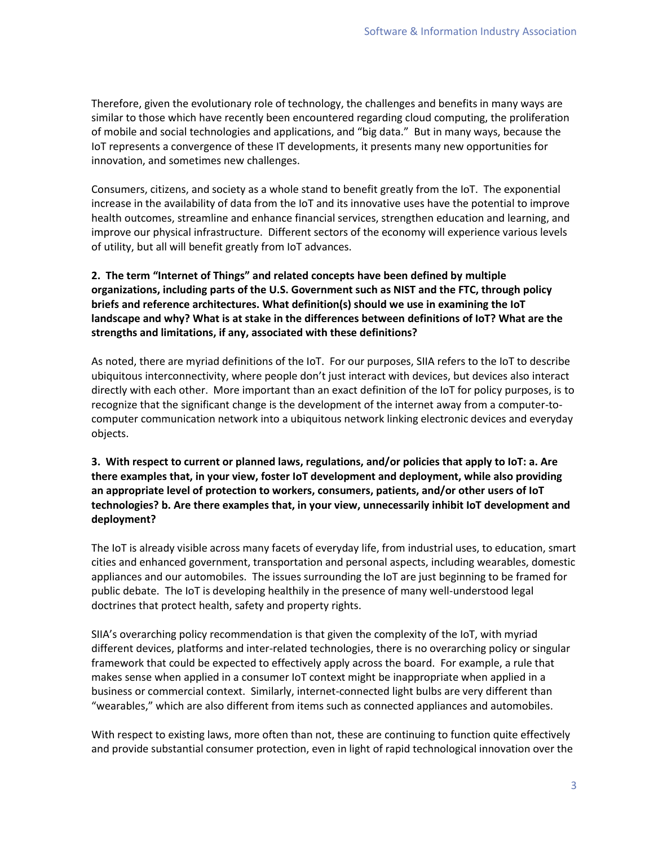Therefore, given the evolutionary role of technology, the challenges and benefits in many ways are similar to those which have recently been encountered regarding cloud computing, the proliferation of mobile and social technologies and applications, and "big data." But in many ways, because the IoT represents a convergence of these IT developments, it presents many new opportunities for innovation, and sometimes new challenges.

Consumers, citizens, and society as a whole stand to benefit greatly from the IoT. The exponential increase in the availability of data from the IoT and its innovative uses have the potential to improve health outcomes, streamline and enhance financial services, strengthen education and learning, and improve our physical infrastructure. Different sectors of the economy will experience various levels of utility, but all will benefit greatly from IoT advances.

# **2. The term "Internet of Things" and related concepts have been defined by multiple organizations, including parts of the U.S. Government such as NIST and the FTC, through policy briefs and reference architectures. What definition(s) should we use in examining the IoT landscape and why? What is at stake in the differences between definitions of IoT? What are the strengths and limitations, if any, associated with these definitions?**

As noted, there are myriad definitions of the IoT. For our purposes, SIIA refers to the IoT to describe ubiquitous interconnectivity, where people don't just interact with devices, but devices also interact directly with each other. More important than an exact definition of the IoT for policy purposes, is to recognize that the significant change is the development of the internet away from a computer-tocomputer communication network into a ubiquitous network linking electronic devices and everyday objects.

# **3. With respect to current or planned laws, regulations, and/or policies that apply to IoT: a. Are there examples that, in your view, foster IoT development and deployment, while also providing an appropriate level of protection to workers, consumers, patients, and/or other users of IoT technologies? b. Are there examples that, in your view, unnecessarily inhibit IoT development and deployment?**

The IoT is already visible across many facets of everyday life, from industrial uses, to education, smart cities and enhanced government, transportation and personal aspects, including wearables, domestic appliances and our automobiles. The issues surrounding the IoT are just beginning to be framed for public debate. The IoT is developing healthily in the presence of many well-understood legal doctrines that protect health, safety and property rights.

SIIA's overarching policy recommendation is that given the complexity of the IoT, with myriad different devices, platforms and inter-related technologies, there is no overarching policy or singular framework that could be expected to effectively apply across the board. For example, a rule that makes sense when applied in a consumer IoT context might be inappropriate when applied in a business or commercial context. Similarly, internet-connected light bulbs are very different than "wearables," which are also different from items such as connected appliances and automobiles.

With respect to existing laws, more often than not, these are continuing to function quite effectively and provide substantial consumer protection, even in light of rapid technological innovation over the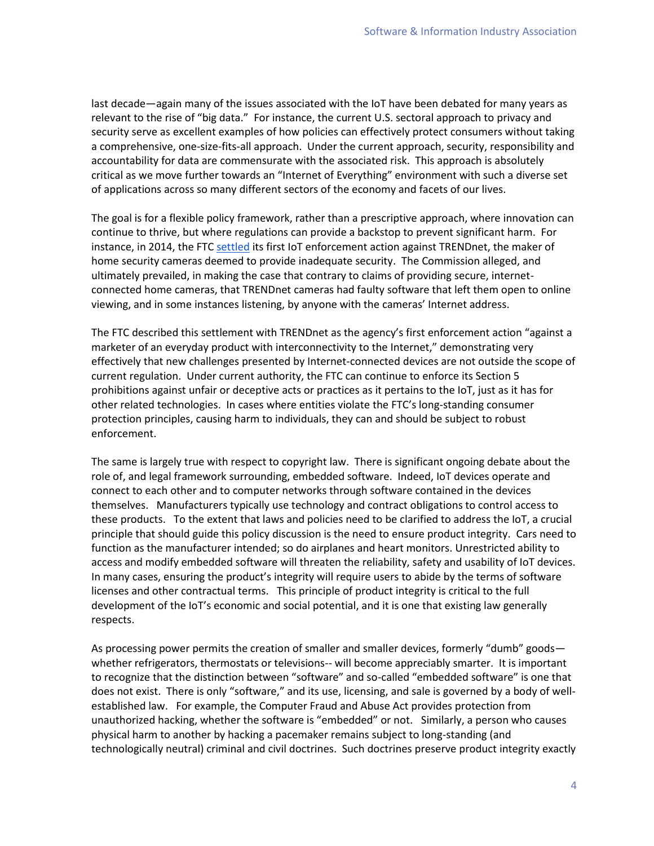last decade—again many of the issues associated with the IoT have been debated for many years as relevant to the rise of "big data." For instance, the current U.S. sectoral approach to privacy and security serve as excellent examples of how policies can effectively protect consumers without taking a comprehensive, one-size-fits-all approach. Under the current approach, security, responsibility and accountability for data are commensurate with the associated risk. This approach is absolutely critical as we move further towards an "Internet of Everything" environment with such a diverse set of applications across so many different sectors of the economy and facets of our lives.

The goal is for a flexible policy framework, rather than a prescriptive approach, where innovation can continue to thrive, but where regulations can provide a backstop to prevent significant harm. For instance, in 2014, the FT[C settled](https://www.ftc.gov/news-events/press-releases/2014/02/ftc-approves-final-order-settling-charges-against-trendnet-inc) its first IoT enforcement action against TRENDnet, the maker of home security cameras deemed to provide inadequate security. The Commission alleged, and ultimately prevailed, in making the case that contrary to claims of providing secure, internetconnected home cameras, that TRENDnet cameras had faulty software that left them open to online viewing, and in some instances listening, by anyone with the cameras' Internet address.

The FTC described this settlement with TRENDnet as the agency's first enforcement action "against a marketer of an everyday product with interconnectivity to the Internet," demonstrating very effectively that new challenges presented by Internet-connected devices are not outside the scope of current regulation. Under current authority, the FTC can continue to enforce its Section 5 prohibitions against unfair or deceptive acts or practices as it pertains to the IoT, just as it has for other related technologies. In cases where entities violate the FTC's long-standing consumer protection principles, causing harm to individuals, they can and should be subject to robust enforcement.

The same is largely true with respect to copyright law. There is significant ongoing debate about the role of, and legal framework surrounding, embedded software. Indeed, IoT devices operate and connect to each other and to computer networks through software contained in the devices themselves. Manufacturers typically use technology and contract obligations to control access to these products. To the extent that laws and policies need to be clarified to address the IoT, a crucial principle that should guide this policy discussion is the need to ensure product integrity. Cars need to function as the manufacturer intended; so do airplanes and heart monitors. Unrestricted ability to access and modify embedded software will threaten the reliability, safety and usability of IoT devices. In many cases, ensuring the product's integrity will require users to abide by the terms of software licenses and other contractual terms. This principle of product integrity is critical to the full development of the IoT's economic and social potential, and it is one that existing law generally respects.

As processing power permits the creation of smaller and smaller devices, formerly "dumb" goods whether refrigerators, thermostats or televisions-- will become appreciably smarter. It is important to recognize that the distinction between "software" and so-called "embedded software" is one that does not exist. There is only "software," and its use, licensing, and sale is governed by a body of wellestablished law. For example, the Computer Fraud and Abuse Act provides protection from unauthorized hacking, whether the software is "embedded" or not. Similarly, a person who causes physical harm to another by hacking a pacemaker remains subject to long-standing (and technologically neutral) criminal and civil doctrines. Such doctrines preserve product integrity exactly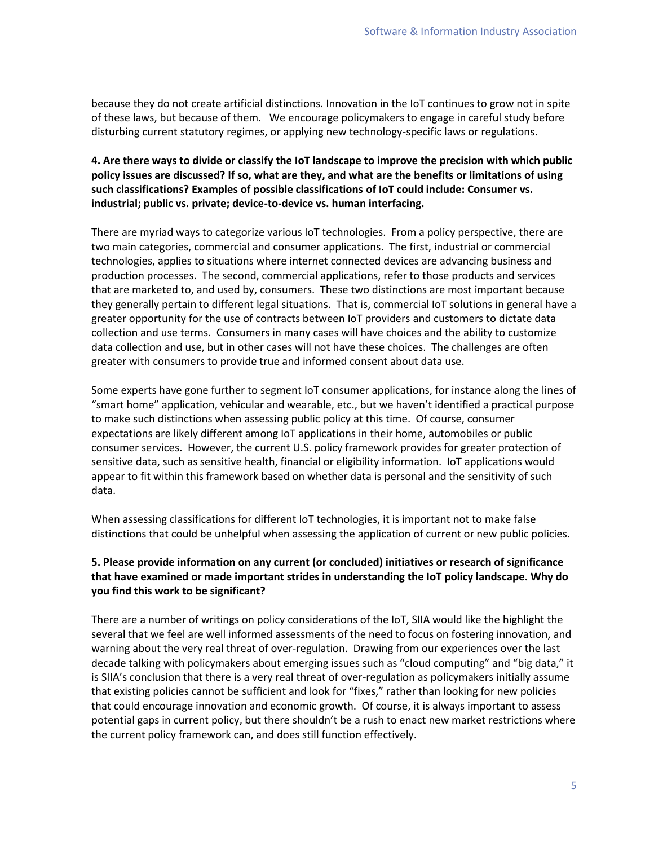because they do not create artificial distinctions. Innovation in the IoT continues to grow not in spite of these laws, but because of them. We encourage policymakers to engage in careful study before disturbing current statutory regimes, or applying new technology-specific laws or regulations.

# **4. Are there ways to divide or classify the IoT landscape to improve the precision with which public policy issues are discussed? If so, what are they, and what are the benefits or limitations of using such classifications? Examples of possible classifications of IoT could include: Consumer vs. industrial; public vs. private; device-to-device vs. human interfacing.**

There are myriad ways to categorize various IoT technologies. From a policy perspective, there are two main categories, commercial and consumer applications. The first, industrial or commercial technologies, applies to situations where internet connected devices are advancing business and production processes. The second, commercial applications, refer to those products and services that are marketed to, and used by, consumers. These two distinctions are most important because they generally pertain to different legal situations. That is, commercial IoT solutions in general have a greater opportunity for the use of contracts between IoT providers and customers to dictate data collection and use terms. Consumers in many cases will have choices and the ability to customize data collection and use, but in other cases will not have these choices. The challenges are often greater with consumers to provide true and informed consent about data use.

Some experts have gone further to segment IoT consumer applications, for instance along the lines of "smart home" application, vehicular and wearable, etc., but we haven't identified a practical purpose to make such distinctions when assessing public policy at this time. Of course, consumer expectations are likely different among IoT applications in their home, automobiles or public consumer services. However, the current U.S. policy framework provides for greater protection of sensitive data, such as sensitive health, financial or eligibility information. IoT applications would appear to fit within this framework based on whether data is personal and the sensitivity of such data.

When assessing classifications for different IoT technologies, it is important not to make false distinctions that could be unhelpful when assessing the application of current or new public policies.

# **5. Please provide information on any current (or concluded) initiatives or research of significance that have examined or made important strides in understanding the IoT policy landscape. Why do you find this work to be significant?**

There are a number of writings on policy considerations of the IoT, SIIA would like the highlight the several that we feel are well informed assessments of the need to focus on fostering innovation, and warning about the very real threat of over-regulation. Drawing from our experiences over the last decade talking with policymakers about emerging issues such as "cloud computing" and "big data," it is SIIA's conclusion that there is a very real threat of over-regulation as policymakers initially assume that existing policies cannot be sufficient and look for "fixes," rather than looking for new policies that could encourage innovation and economic growth. Of course, it is always important to assess potential gaps in current policy, but there shouldn't be a rush to enact new market restrictions where the current policy framework can, and does still function effectively.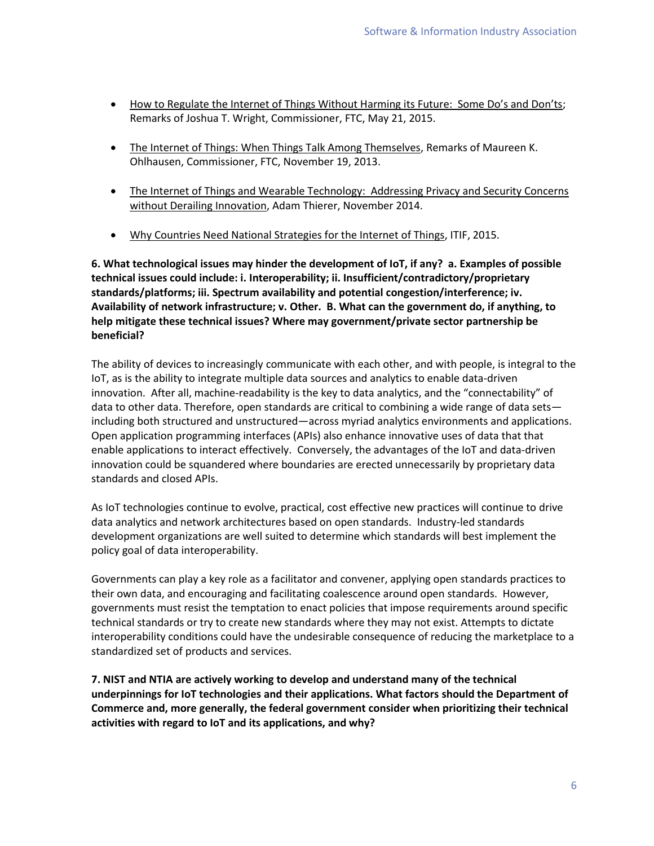- [How to Regulate the Internet of Things Without Harming its Future: Some Do's and Don'ts](https://www.ftc.gov/system/files/documents/public_statements/644381/150521iotchamber.pdf); Remarks of Joshua T. Wright, Commissioner, FTC, May 21, 2015.
- [The Internet of Things: When Things Talk Among Themselves,](https://www.ftc.gov/sites/default/files/documents/public_statements/remarks-commissioner-maureen-k.ohlhausen-ftc-internet-things-workshop/131119iotspeech.pdf) Remarks of Maureen K. Ohlhausen, Commissioner, FTC, November 19, 2013.
- [The Internet of Things and Wearable Technology: Addressing Privacy and Security Concerns](http://mercatus.org/sites/default/files/Thierer-Wearable-Tech.pdf)  [without Derailing Innovation,](http://mercatus.org/sites/default/files/Thierer-Wearable-Tech.pdf) Adam Thierer, November 2014.
- . [Why Countries Need National Strategies for the Internet of Things,](https://itif.org/publications/2015/12/16/why-countries-need-national-strategies-internet-things) ITIF, 2015.

**6. What technological issues may hinder the development of IoT, if any? a. Examples of possible technical issues could include: i. Interoperability; ii. Insufficient/contradictory/proprietary standards/platforms; iii. Spectrum availability and potential congestion/interference; iv. Availability of network infrastructure; v. Other. B. What can the government do, if anything, to help mitigate these technical issues? Where may government/private sector partnership be beneficial?**

The ability of devices to increasingly communicate with each other, and with people, is integral to the IoT, as is the ability to integrate multiple data sources and analytics to enable data-driven innovation. After all, machine-readability is the key to data analytics, and the "connectability" of data to other data. Therefore, open standards are critical to combining a wide range of data sets including both structured and unstructured—across myriad analytics environments and applications. Open application programming interfaces (APIs) also enhance innovative uses of data that that enable applications to interact effectively. Conversely, the advantages of the IoT and data-driven innovation could be squandered where boundaries are erected unnecessarily by proprietary data standards and closed APIs.

As IoT technologies continue to evolve, practical, cost effective new practices will continue to drive data analytics and network architectures based on open standards. Industry-led standards development organizations are well suited to determine which standards will best implement the policy goal of data interoperability.

Governments can play a key role as a facilitator and convener, applying open standards practices to their own data, and encouraging and facilitating coalescence around open standards. However, governments must resist the temptation to enact policies that impose requirements around specific technical standards or try to create new standards where they may not exist. Attempts to dictate interoperability conditions could have the undesirable consequence of reducing the marketplace to a standardized set of products and services.

**7. NIST and NTIA are actively working to develop and understand many of the technical underpinnings for IoT technologies and their applications. What factors should the Department of Commerce and, more generally, the federal government consider when prioritizing their technical activities with regard to IoT and its applications, and why?**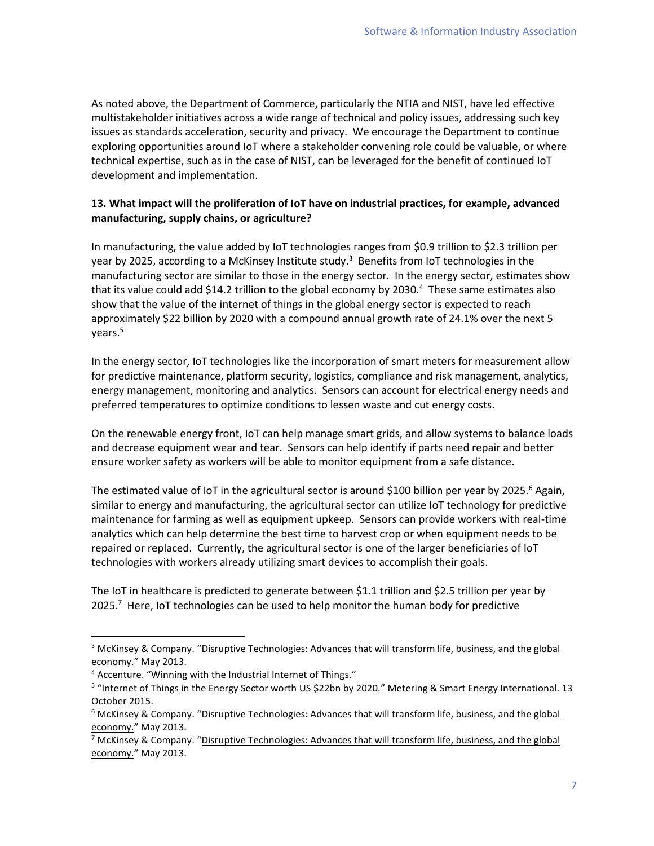As noted above, the Department of Commerce, particularly the NTIA and NIST, have led effective multistakeholder initiatives across a wide range of technical and policy issues, addressing such key issues as standards acceleration, security and privacy. We encourage the Department to continue exploring opportunities around IoT where a stakeholder convening role could be valuable, or where technical expertise, such as in the case of NIST, can be leveraged for the benefit of continued IoT development and implementation.

# **13. What impact will the proliferation of IoT have on industrial practices, for example, advanced manufacturing, supply chains, or agriculture?**

In manufacturing, the value added by IoT technologies ranges from \$0.9 trillion to \$2.3 trillion per year by 2025, according to a McKinsey Institute study.<sup>3</sup> Benefits from IoT technologies in the manufacturing sector are similar to those in the energy sector. In the energy sector, estimates show that its value could add \$14.2 trillion to the global economy by 2030.<sup>4</sup> These same estimates also show that the value of the internet of things in the global energy sector is expected to reach approximately \$22 billion by 2020 with a compound annual growth rate of 24.1% over the next 5 years.<sup>5</sup>

In the energy sector, IoT technologies like the incorporation of smart meters for measurement allow for predictive maintenance, platform security, logistics, compliance and risk management, analytics, energy management, monitoring and analytics. Sensors can account for electrical energy needs and preferred temperatures to optimize conditions to lessen waste and cut energy costs.

On the renewable energy front, IoT can help manage smart grids, and allow systems to balance loads and decrease equipment wear and tear. Sensors can help identify if parts need repair and better ensure worker safety as workers will be able to monitor equipment from a safe distance.

The estimated value of IoT in the agricultural sector is around \$100 billion per year by 2025.<sup>6</sup> Again, similar to energy and manufacturing, the agricultural sector can utilize IoT technology for predictive maintenance for farming as well as equipment upkeep. Sensors can provide workers with real-time analytics which can help determine the best time to harvest crop or when equipment needs to be repaired or replaced. Currently, the agricultural sector is one of the larger beneficiaries of IoT technologies with workers already utilizing smart devices to accomplish their goals.

The IoT in healthcare is predicted to generate between \$1.1 trillion and \$2.5 trillion per year by 2025.<sup>7</sup> Here, IoT technologies can be used to help monitor the human body for predictive

<sup>&</sup>lt;sup>3</sup> McKinsey & Company. "Disruptive Technologies: Advances that will transform life, business, and the global [economy.](http://www.mckinsey.com/insights/business_technology/disruptive_technologies)" May 2013.

<sup>&</sup>lt;sup>4</sup> Accenture. "[Winning with the Industrial Internet of Things](https://www.accenture.com/us-en/insight-industrial-internet-of-things.aspx)."

<sup>&</sup>lt;sup>5</sup> "[Internet of Things in the Energy Sector worth US \\$22bn by 2020.](http://www.metering.com/internet-of-things-in-energy-market-reaches-us22-34bn-by-2020/)" Metering & Smart Energy International. 13 October 2015.

<sup>&</sup>lt;sup>6</sup> McKinsey & Company. "Disruptive Technologies: Advances that will transform life, business, and the global [economy.](http://www.mckinsey.com/insights/business_technology/disruptive_technologies)" May 2013.

<sup>&</sup>lt;sup>7</sup> McKinsey & Company. "Disruptive Technologies: Advances that will transform life, business, and the global [economy.](http://www.mckinsey.com/insights/business_technology/disruptive_technologies)" May 2013.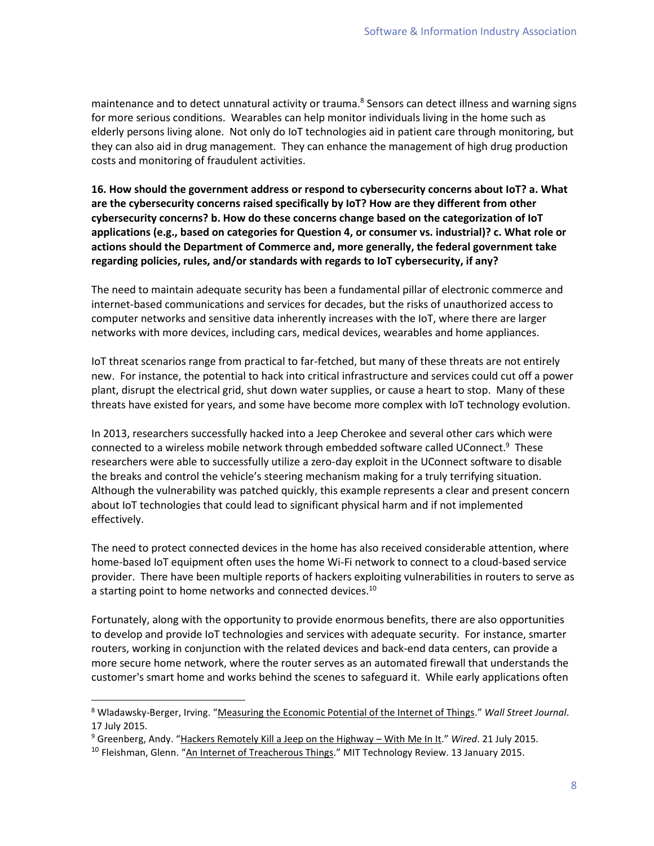maintenance and to detect unnatural activity or trauma.<sup>8</sup> Sensors can detect illness and warning signs for more serious conditions. Wearables can help monitor individuals living in the home such as elderly persons living alone. Not only do IoT technologies aid in patient care through monitoring, but they can also aid in drug management. They can enhance the management of high drug production costs and monitoring of fraudulent activities.

**16. How should the government address or respond to cybersecurity concerns about IoT? a. What are the cybersecurity concerns raised specifically by IoT? How are they different from other cybersecurity concerns? b. How do these concerns change based on the categorization of IoT applications (e.g., based on categories for Question 4, or consumer vs. industrial)? c. What role or actions should the Department of Commerce and, more generally, the federal government take regarding policies, rules, and/or standards with regards to IoT cybersecurity, if any?**

The need to maintain adequate security has been a fundamental pillar of electronic commerce and internet-based communications and services for decades, but the risks of unauthorized access to computer networks and sensitive data inherently increases with the IoT, where there are larger networks with more devices, including cars, medical devices, wearables and home appliances.

IoT threat scenarios range from practical to far-fetched, but many of these threats are not entirely new. For instance, the potential to hack into critical infrastructure and services could cut off a power plant, disrupt the electrical grid, shut down water supplies, or cause a heart to stop. Many of these threats have existed for years, and some have become more complex with IoT technology evolution.

In 2013, researchers successfully hacked into a Jeep Cherokee and several other cars which were connected to a wireless mobile network through embedded software called UConnect.<sup>9</sup> These researchers were able to successfully utilize a zero-day exploit in the UConnect software to disable the breaks and control the vehicle's steering mechanism making for a truly terrifying situation. Although the vulnerability was patched quickly, this example represents a clear and present concern about IoT technologies that could lead to significant physical harm and if not implemented effectively.

The need to protect connected devices in the home has also received considerable attention, where home-based IoT equipment often uses the home Wi-Fi network to connect to a cloud-based service provider. There have been multiple reports of hackers exploiting vulnerabilities in routers to serve as a starting point to home networks and connected devices.<sup>10</sup>

Fortunately, along with the opportunity to provide enormous benefits, there are also opportunities to develop and provide IoT technologies and services with adequate security. For instance, smarter routers, working in conjunction with the related devices and back-end data centers, can provide a more secure home network, where the router serves as an automated firewall that understands the customer's smart home and works behind the scenes to safeguard it. While early applications often

l

<sup>8</sup> Wladawsky-Berger, Irving. "[Measuring the Economic Potential of the Internet of Things](http://blogs.wsj.com/cio/2015/07/17/measuring-the-economic-potential-of-the-internet-of-things/)." *Wall Street Journal*. 17 July 2015.

<sup>9</sup> Greenberg, Andy. "[Hackers Remotely Kill a Jeep on the Highway](http://www.wired.com/2015/07/hackers-remotely-kill-jeep-highway/) – With Me In It." *Wired*. 21 July 2015.

<sup>&</sup>lt;sup>10</sup> Fleishman, Glenn. "[An Internet of Treacherous Things.](https://www.technologyreview.com/s/534196/an-internet-of-treacherous-things/)" MIT Technology Review. 13 January 2015.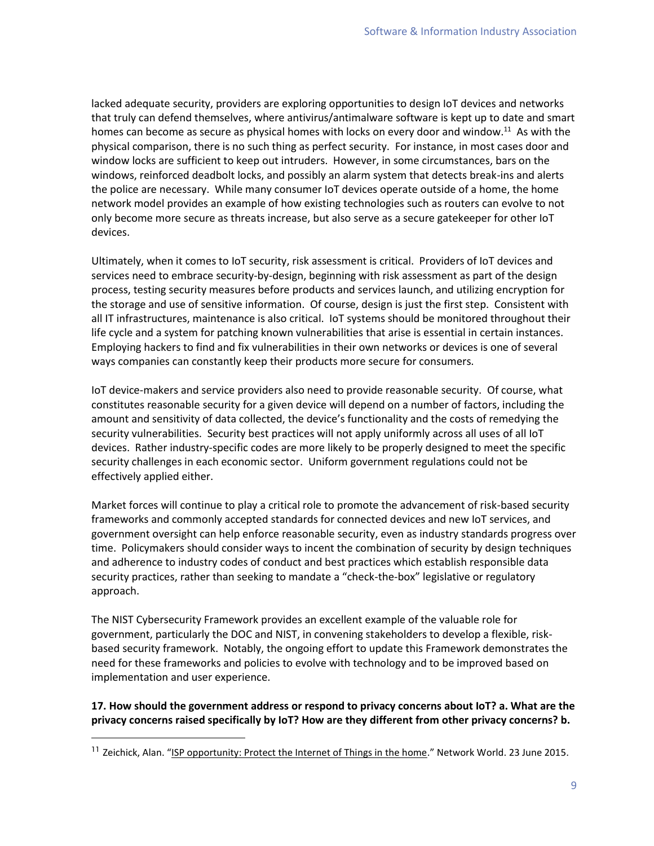lacked adequate security, providers are exploring opportunities to design IoT devices and networks that truly can defend themselves, where antivirus/antimalware software is kept up to date and smart homes can become as secure as physical homes with locks on every door and window.<sup>11</sup> As with the physical comparison, there is no such thing as perfect security. For instance, in most cases door and window locks are sufficient to keep out intruders. However, in some circumstances, bars on the windows, reinforced deadbolt locks, and possibly an alarm system that detects break-ins and alerts the police are necessary. While many consumer IoT devices operate outside of a home, the home network model provides an example of how existing technologies such as routers can evolve to not only become more secure as threats increase, but also serve as a secure gatekeeper for other IoT devices.

Ultimately, when it comes to IoT security, risk assessment is critical. Providers of IoT devices and services need to embrace security-by-design, beginning with risk assessment as part of the design process, testing security measures before products and services launch, and utilizing encryption for the storage and use of sensitive information. Of course, design is just the first step. Consistent with all IT infrastructures, maintenance is also critical. IoT systems should be monitored throughout their life cycle and a system for patching known vulnerabilities that arise is essential in certain instances. Employing hackers to find and fix vulnerabilities in their own networks or devices is one of several ways companies can constantly keep their products more secure for consumers.

IoT device-makers and service providers also need to provide reasonable security. Of course, what constitutes reasonable security for a given device will depend on a number of factors, including the amount and sensitivity of data collected, the device's functionality and the costs of remedying the security vulnerabilities. Security best practices will not apply uniformly across all uses of all IoT devices. Rather industry-specific codes are more likely to be properly designed to meet the specific security challenges in each economic sector. Uniform government regulations could not be effectively applied either.

Market forces will continue to play a critical role to promote the advancement of risk-based security frameworks and commonly accepted standards for connected devices and new IoT services, and government oversight can help enforce reasonable security, even as industry standards progress over time. Policymakers should consider ways to incent the combination of security by design techniques and adherence to industry codes of conduct and best practices which establish responsible data security practices, rather than seeking to mandate a "check-the-box" legislative or regulatory approach.

The NIST Cybersecurity Framework provides an excellent example of the valuable role for government, particularly the DOC and NIST, in convening stakeholders to develop a flexible, riskbased security framework. Notably, the ongoing effort to update this Framework demonstrates the need for these frameworks and policies to evolve with technology and to be improved based on implementation and user experience.

### **17. How should the government address or respond to privacy concerns about IoT? a. What are the privacy concerns raised specifically by IoT? How are they different from other privacy concerns? b.**

<sup>&</sup>lt;sup>11</sup> Zeichick, Alan. "[ISP opportunity: Protect the Internet of Things in the home](http://www.networkworld.com/article/2938916/internet-of-things/isp-opportunity-protect-the-internet-of-things-in-the-home.html)." Network World. 23 June 2015.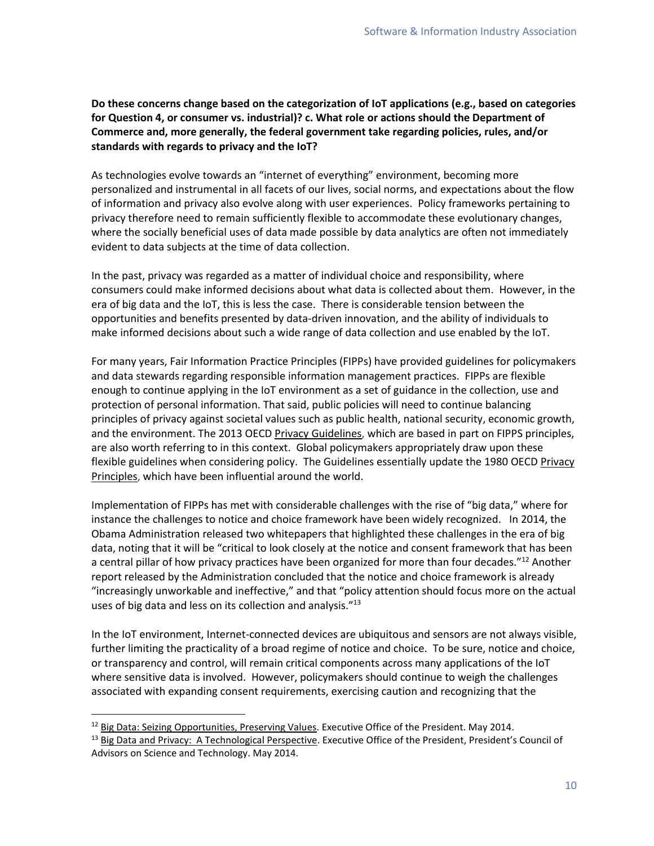**Do these concerns change based on the categorization of IoT applications (e.g., based on categories for Question 4, or consumer vs. industrial)? c. What role or actions should the Department of Commerce and, more generally, the federal government take regarding policies, rules, and/or standards with regards to privacy and the IoT?**

As technologies evolve towards an "internet of everything" environment, becoming more personalized and instrumental in all facets of our lives, social norms, and expectations about the flow of information and privacy also evolve along with user experiences. Policy frameworks pertaining to privacy therefore need to remain sufficiently flexible to accommodate these evolutionary changes, where the socially beneficial uses of data made possible by data analytics are often not immediately evident to data subjects at the time of data collection.

In the past, privacy was regarded as a matter of individual choice and responsibility, where consumers could make informed decisions about what data is collected about them. However, in the era of big data and the IoT, this is less the case. There is considerable tension between the opportunities and benefits presented by data-driven innovation, and the ability of individuals to make informed decisions about such a wide range of data collection and use enabled by the IoT.

For many years, Fair Information Practice Principles (FIPPs) have provided guidelines for policymakers and data stewards regarding responsible information management practices. FIPPs are flexible enough to continue applying in the IoT environment as a set of guidance in the collection, use and protection of personal information. That said, public policies will need to continue balancing principles of privacy against societal values such as public health, national security, economic growth, and the environment. The 2013 OECD [Privacy Guidelines,](http://www.oecd.org/sti/ieconomy/2013-oecd-privacy-guidelines.pdf) which are based in part on FIPPS principles, are also worth referring to in this context. Global policymakers appropriately draw upon these flexible guidelines when considering policy. The Guidelines essentially update the 1980 OECD [Privacy](http://oecdprivacy.org/)  [Principles,](http://oecdprivacy.org/) which have been influential around the world.

Implementation of FIPPs has met with considerable challenges with the rise of "big data," where for instance the challenges to notice and choice framework have been widely recognized. In 2014, the Obama Administration released two whitepapers that highlighted these challenges in the era of big data, noting that it will be "critical to look closely at the notice and consent framework that has been a central pillar of how privacy practices have been organized for more than four decades."<sup>12</sup> Another report released by the Administration concluded that the notice and choice framework is already "increasingly unworkable and ineffective," and that "policy attention should focus more on the actual uses of big data and less on its collection and analysis."<sup>13</sup>

In the IoT environment, Internet-connected devices are ubiquitous and sensors are not always visible, further limiting the practicality of a broad regime of notice and choice. To be sure, notice and choice, or transparency and control, will remain critical components across many applications of the IoT where sensitive data is involved. However, policymakers should continue to weigh the challenges associated with expanding consent requirements, exercising caution and recognizing that the

<sup>&</sup>lt;sup>12</sup> Big Data: [Seizing Opportunities, Preserving Values.](https://www.whitehouse.gov/sites/default/files/docs/big_data_privacy_report_may_1_2014.pdf) Executive Office of the President. May 2014.

<sup>&</sup>lt;sup>13</sup> [Big Data and Privacy: A Technological Perspective](https://www.whitehouse.gov/sites/default/files/microsites/ostp/PCAST/pcast_big_data_and_privacy_-_may_2014.pdf). Executive Office of the President, President's Council of Advisors on Science and Technology. May 2014.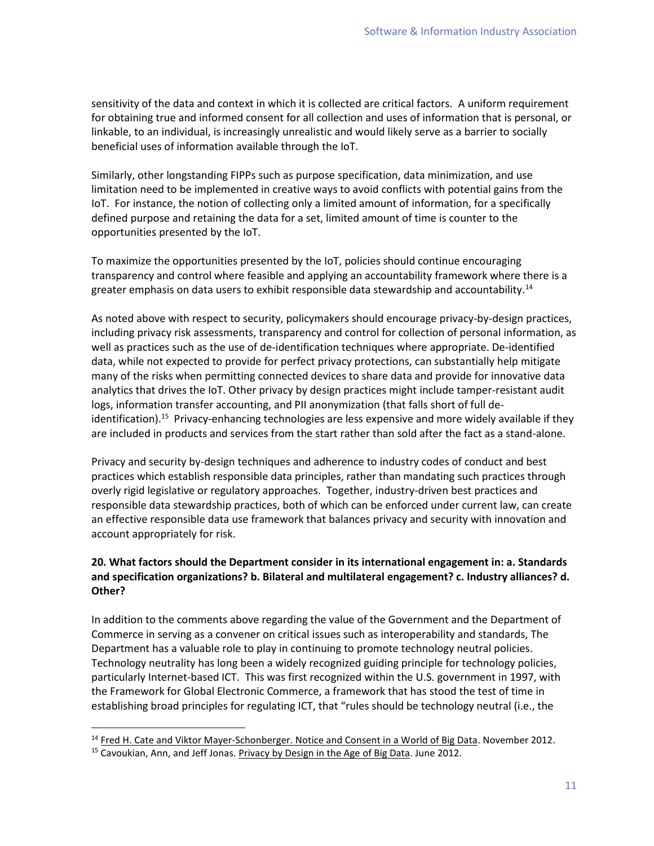sensitivity of the data and context in which it is collected are critical factors. A uniform requirement for obtaining true and informed consent for all collection and uses of information that is personal, or linkable, to an individual, is increasingly unrealistic and would likely serve as a barrier to socially beneficial uses of information available through the IoT.

Similarly, other longstanding FIPPs such as purpose specification, data minimization, and use limitation need to be implemented in creative ways to avoid conflicts with potential gains from the IoT. For instance, the notion of collecting only a limited amount of information, for a specifically defined purpose and retaining the data for a set, limited amount of time is counter to the opportunities presented by the IoT.

To maximize the opportunities presented by the IoT, policies should continue encouraging transparency and control where feasible and applying an accountability framework where there is a greater emphasis on data users to exhibit responsible data stewardship and accountability.<sup>14</sup>

As noted above with respect to security, policymakers should encourage privacy-by-design practices, including privacy risk assessments, transparency and control for collection of personal information, as well as practices such as the use of de-identification techniques where appropriate. De-identified data, while not expected to provide for perfect privacy protections, can substantially help mitigate many of the risks when permitting connected devices to share data and provide for innovative data analytics that drives the IoT. Other privacy by design practices might include tamper-resistant audit logs, information transfer accounting, and PII anonymization (that falls short of full deidentification).<sup>15</sup> Privacy-enhancing technologies are less expensive and more widely available if they are included in products and services from the start rather than sold after the fact as a stand-alone.

Privacy and security by-design techniques and adherence to industry codes of conduct and best practices which establish responsible data principles, rather than mandating such practices through overly rigid legislative or regulatory approaches. Together, industry-driven best practices and responsible data stewardship practices, both of which can be enforced under current law, can create an effective responsible data use framework that balances privacy and security with innovation and account appropriately for risk.

# **20. What factors should the Department consider in its international engagement in: a. Standards and specification organizations? b. Bilateral and multilateral engagement? c. Industry alliances? d. Other?**

In addition to the comments above regarding the value of the Government and the Department of Commerce in serving as a convener on critical issues such as interoperability and standards, The Department has a valuable role to play in continuing to promote technology neutral policies. Technology neutrality has long been a widely recognized guiding principle for technology policies, particularly Internet-based ICT. This was first recognized within the U.S. government in 1997, with the Framework for Global Electronic Commerce, a framework that has stood the test of time in establishing broad principles for regulating ICT, that "rules should be technology neutral (i.e., the

 $\overline{a}$ 

<sup>&</sup>lt;sup>14</sup> [Fred H. Cate and Viktor Mayer-Schonberger. Notice and Consent in a World of Big Data.](https://www.google.com/url?sa=t&rct=j&q=&esrc=s&source=web&cd=2&ved=0ahUKEwj87e72kJHKAhWBdSYKHcrUDyEQFggiMAE&url=http%3A%2F%2Fdownload.microsoft.com%2Fdownload%2F9%2F8%2FF%2F98FE20D2-FAE7-43C7-B569-C363F45C8B24%2FMicrosoft%2520Global%2520Privacy%2520Summit%2520Report.pdf&usg=AFQjCNHu5g7iraMSGzYv7DoFCWurIseq7A&sig2=z-rQdDA5BXFJaPyVXoHcQw&bvm=bv.110151844,d.eWE&cad=rja) November 2012.

<sup>&</sup>lt;sup>15</sup> Cavoukian, Ann, and Jeff Jonas[. Privacy by Design in the Age of Big Data.](https://www.ipc.on.ca/images/Resources/pbd-big_data.pdf) June 2012.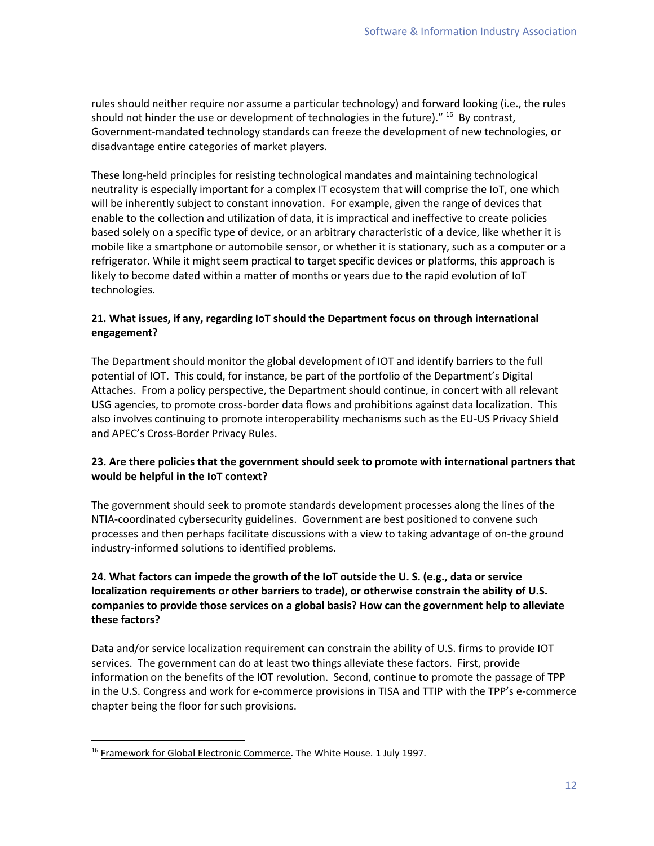rules should neither require nor assume a particular technology) and forward looking (i.e., the rules should not hinder the use or development of technologies in the future)." <sup>16</sup> By contrast, Government-mandated technology standards can freeze the development of new technologies, or disadvantage entire categories of market players.

These long-held principles for resisting technological mandates and maintaining technological neutrality is especially important for a complex IT ecosystem that will comprise the IoT, one which will be inherently subject to constant innovation. For example, given the range of devices that enable to the collection and utilization of data, it is impractical and ineffective to create policies based solely on a specific type of device, or an arbitrary characteristic of a device, like whether it is mobile like a smartphone or automobile sensor, or whether it is stationary, such as a computer or a refrigerator. While it might seem practical to target specific devices or platforms, this approach is likely to become dated within a matter of months or years due to the rapid evolution of IoT technologies.

# **21. What issues, if any, regarding IoT should the Department focus on through international engagement?**

The Department should monitor the global development of IOT and identify barriers to the full potential of IOT. This could, for instance, be part of the portfolio of the Department's Digital Attaches. From a policy perspective, the Department should continue, in concert with all relevant USG agencies, to promote cross-border data flows and prohibitions against data localization. This also involves continuing to promote interoperability mechanisms such as the EU-US Privacy Shield and APEC's Cross-Border Privacy Rules.

# **23. Are there policies that the government should seek to promote with international partners that would be helpful in the IoT context?**

The government should seek to promote standards development processes along the lines of the NTIA-coordinated cybersecurity guidelines. Government are best positioned to convene such processes and then perhaps facilitate discussions with a view to taking advantage of on-the ground industry-informed solutions to identified problems.

# **24. What factors can impede the growth of the IoT outside the U. S. (e.g., data or service localization requirements or other barriers to trade), or otherwise constrain the ability of U.S. companies to provide those services on a global basis? How can the government help to alleviate these factors?**

Data and/or service localization requirement can constrain the ability of U.S. firms to provide IOT services. The government can do at least two things alleviate these factors. First, provide information on the benefits of the IOT revolution. Second, continue to promote the passage of TPP in the U.S. Congress and work for e-commerce provisions in TISA and TTIP with the TPP's e-commerce chapter being the floor for such provisions.

<sup>&</sup>lt;sup>16</sup> [Framework for Global Electronic Commerce.](http://clinton4.nara.gov/WH/New/Commerce/) The White House. 1 July 1997.